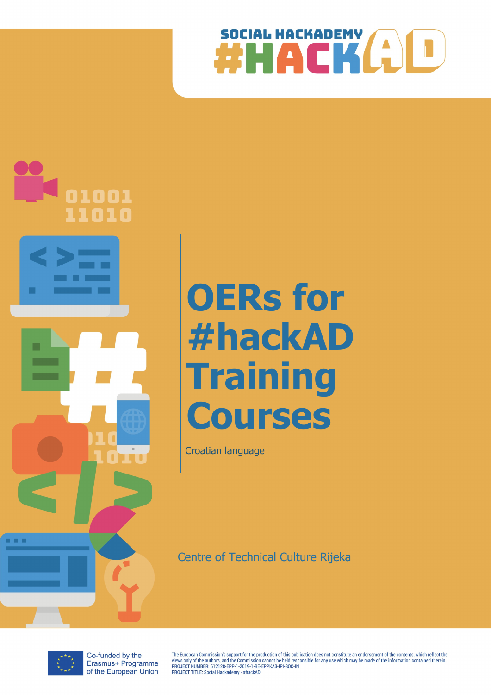



# OERs for #hackAD **Training** Courses

Croatian language

Centre of Technical Culture Rijeka



Co-funded by the Erasmus+ Programme of the European Union

The European Commission's support for the production of this publication does not constitute an endorsement of the contents, which reflect the The Laury of the authors, and the Commission cannot be held responsible for any use which may be made of the information contained therein<br>PROJECT NUMBER: 612128-EPP-1-2019-1-BE-EPPKA3-IPI-SOC-IN PROJECT TITLE: Social Hackademy - #hackAD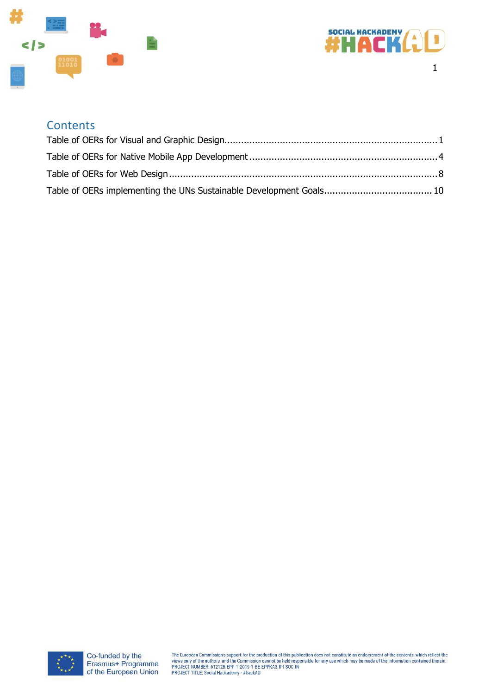



#### **Contents**

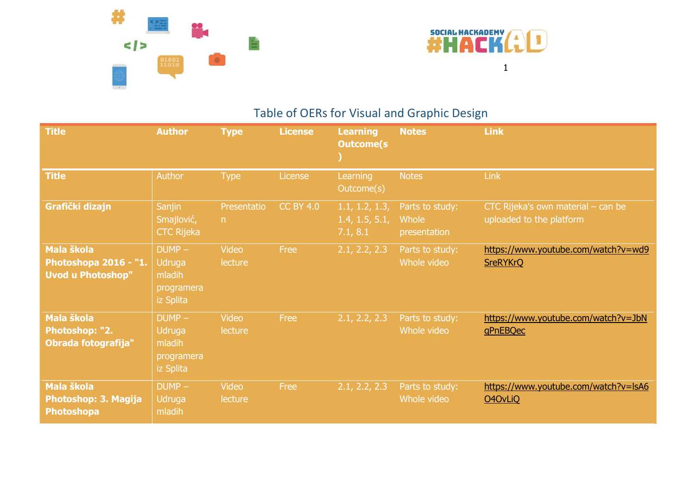



### Table of OERs for Visual and Graphic Design

| <b>Title</b>                                                           | <b>Author</b>                                           | <b>Type</b>             | <b>License</b>   | <b>Learning</b><br><b>Outcome(s)</b>         | <b>Notes</b>                             | <b>Link</b>                                                    |
|------------------------------------------------------------------------|---------------------------------------------------------|-------------------------|------------------|----------------------------------------------|------------------------------------------|----------------------------------------------------------------|
| <b>Title</b>                                                           | Author                                                  | <b>Type</b>             | License          | Learning<br>Outcome(s)                       | <b>Notes</b>                             | Link                                                           |
| Grafički dizajn                                                        | <b>Sanjin</b><br>Smajlović,<br><b>CTC Rijeka</b>        | Presentatio<br>n        | <b>CC BY 4.0</b> | 1.1, 1.2, 1.3,<br>1.4, 1.5, 5.1,<br>7.1, 8.1 | Parts to study:<br>Whole<br>presentation | CTC Rijeka's own material - can be<br>uploaded to the platform |
| <b>Mala škola</b><br>Photoshopa 2016 - "1.<br><b>Uvod u Photoshop"</b> | $DUMP -$<br>Udruga<br>mladih<br>programera<br>iz Splita | Video<br>lecture        | Free             | 2.1, 2.2, 2.3                                | Parts to study:<br>Whole video           | https://www.youtube.com/watch?v=wd9<br><b>SreRYKrQ</b>         |
| <b>Mala škola</b><br>Photoshop: "2.<br>Obrada fotografija"             | $DUMP -$<br>Udruga<br>mladih<br>programera<br>iz Splita | <b>Video</b><br>lecture | Free             | 2.1, 2.2, 2.3                                | Parts to study:<br>Whole video           | https://www.youtube.com/watch?v=JbN<br>gPnEBQec                |
| <b>Mala škola</b><br>Photoshop: 3. Magija<br><b>Photoshopa</b>         | $DUMP -$<br>Udruga<br>mladih                            | Video<br>lecture        | Free             | 2.1, 2.2, 2.3                                | Parts to study:<br>Whole video           | https://www.youtube.com/watch?v=lsA6<br><b>O4OvLiQ</b>         |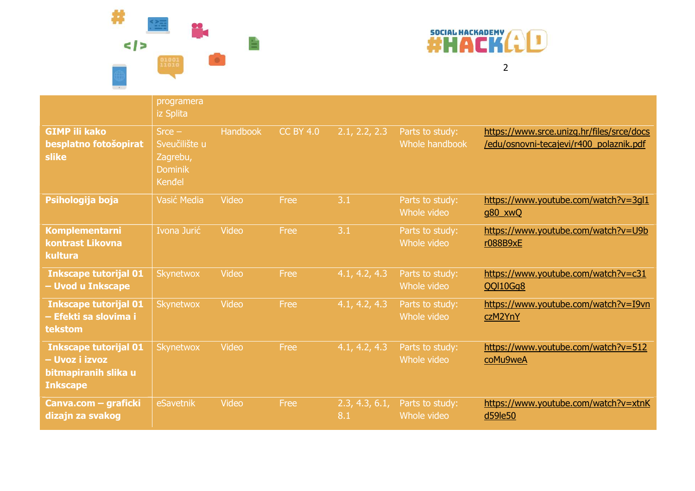



|                                                                                           | programera<br>iz Splita                                           |          |                  |                       |                                   |                                                                                      |
|-------------------------------------------------------------------------------------------|-------------------------------------------------------------------|----------|------------------|-----------------------|-----------------------------------|--------------------------------------------------------------------------------------|
| <b>GIMP ili kako</b><br>besplatno fotošopirat<br>slike                                    | $Srce -$<br>Sveučilište u<br>Zagrebu,<br><b>Dominik</b><br>Kenđel | Handbook | <b>CC BY 4.0</b> | 2.1, 2.2, 2.3         | Parts to study:<br>Whole handbook | https://www.srce.unizg.hr/files/srce/docs<br>/edu/osnovni-tecajevi/r400_polaznik.pdf |
| Psihologija boja                                                                          | Vasić Media                                                       | Video    | Free             | 3.1                   | Parts to study:<br>Whole video    | https://www.youtube.com/watch?v=3gl1<br>g80_xwQ                                      |
| <b>Komplementarni</b><br>kontrast Likovna<br>kultura                                      | Ivona Jurić                                                       | Video    | Free             | 3.1                   | Parts to study:<br>Whole video    | https://www.youtube.com/watch?v=U9b<br>r088B9xE                                      |
| <b>Inkscape tutorijal 01</b><br>- Uvod u Inkscape                                         | Skynetwox                                                         | Video    | Free             | 4.1, 4.2, 4.3         | Parts to study:<br>Whole video    | https://www.youtube.com/watch?v=c31<br><b>QQI10Gg8</b>                               |
| <b>Inkscape tutorijal 01</b><br>– Efekti sa slovima i<br>tekstom                          | Skynetwox                                                         | Video    | Free             | 4.1, 4.2, 4.3         | Parts to study:<br>Whole video    | https://www.youtube.com/watch?v=I9vn<br>czM2YnY                                      |
| <b>Inkscape tutorijal 01</b><br>- Uvoz i izvoz<br>bitmapiranih slika u<br><b>Inkscape</b> | Skynetwox                                                         | Video    | Free             | 4.1, 4.2, 4.3         | Parts to study:<br>Whole video    | https://www.youtube.com/watch?v=512<br>coMu9weA                                      |
| Canva.com - graficki<br>dizajn za svakog                                                  | eSavetnik                                                         | Video    | Free             | 2.3, 4.3, 6.1,<br>8.1 | Parts to study:<br>Whole video    | https://www.youtube.com/watch?v=xtnK<br>d59le50                                      |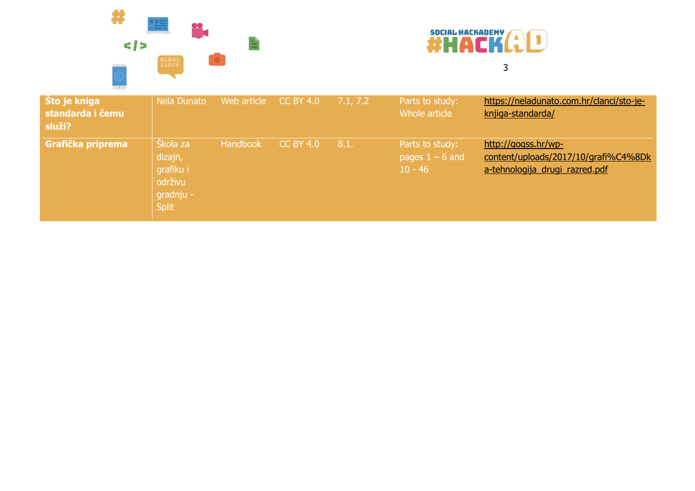



#### Što je kniga standarda i čemu služi? Nela Dunato Web article CC BY 4.0 7.1, 7.2 Parts to study: Whole article https://neladunato.com.hr/clanci/sto-jeknjiga-standarda/ Grafička priprema Škola za dizajn, grafiku i održivu gradnju - Split Handbook CC BY 4.0 8.1. Parts to study: pages  $1 - 6$  and  $10 - 46$ http://gogss.hr/wpcontent/uploads/2017/10/grafi%C4%8Dk a-tehnologija drugi razred.pdf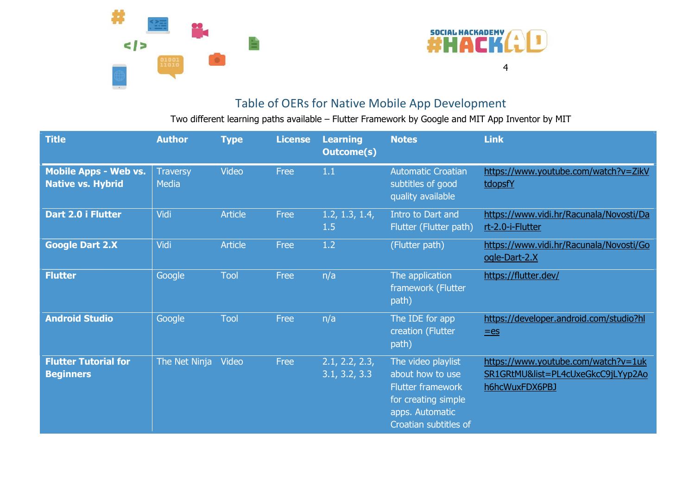



#### Table of OERs for Native Mobile App Development

Two different learning paths available – Flutter Framework by Google and MIT App Inventor by MIT

| <b>Title</b>                                             | <b>Author</b>            | <b>Type</b>    | <b>License</b> | <b>Learning</b><br><b>Outcome(s)</b> | <b>Notes</b>                                                                                                                          | <b>Link</b>                                                                                 |
|----------------------------------------------------------|--------------------------|----------------|----------------|--------------------------------------|---------------------------------------------------------------------------------------------------------------------------------------|---------------------------------------------------------------------------------------------|
| <b>Mobile Apps - Web vs.</b><br><b>Native vs. Hybrid</b> | <b>Traversy</b><br>Media | Video          | Free           | 1.1                                  | <b>Automatic Croatian</b><br>subtitles of good<br>quality available                                                                   | https://www.youtube.com/watch?v=ZikV<br>tdopsfY                                             |
| Dart 2.0 i Flutter                                       | Vidi                     | <b>Article</b> | Free           | 1.2, 1.3, 1.4,<br>1.5                | Intro to Dart and<br>Flutter (Flutter path)                                                                                           | https://www.vidi.hr/Racunala/Novosti/Da<br>rt-2.0-i-Flutter                                 |
| <b>Google Dart 2.X</b>                                   | Vidi                     | <b>Article</b> | Free           | 1.2                                  | (Flutter path)                                                                                                                        | https://www.vidi.hr/Racunala/Novosti/Go<br>ogle-Dart-2.X                                    |
| <b>Flutter</b>                                           | Google                   | <b>Tool</b>    | Free           | n/a                                  | The application<br>framework (Flutter<br>path)                                                                                        | https://flutter.dev/                                                                        |
| <b>Android Studio</b>                                    | Google                   | Tool           | Free           | n/a                                  | The IDE for app<br>creation (Flutter<br>path)                                                                                         | https://developer.android.com/studio?hl<br>$=$ es                                           |
| <b>Flutter Tutorial for</b><br><b>Beginners</b>          | The Net Ninja            | Video          | Free           | 2.1, 2.2, 2.3,<br>3.1, 3.2, 3.3      | The video playlist<br>about how to use<br><b>Flutter framework</b><br>for creating simple<br>apps. Automatic<br>Croatian subtitles of | https://www.youtube.com/watch?v=1uk<br>SR1GRtMU&list=PL4cUxeGkcC9jLYyp2Ao<br>h6hcWuxFDX6PBJ |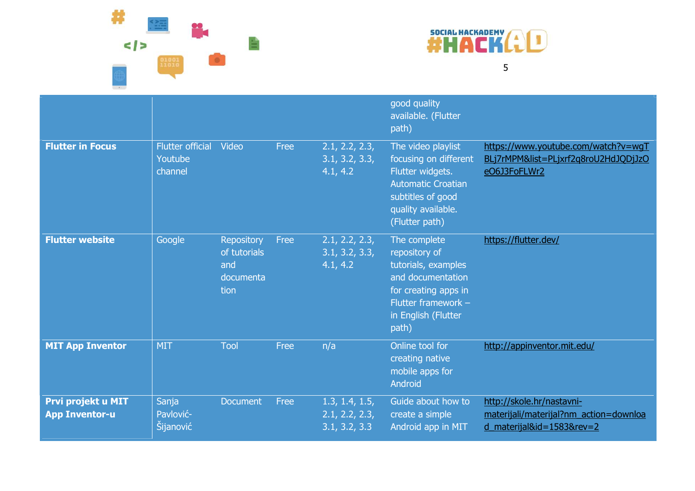



|                         |                                               |                                                               |      |                                              | good quality<br>available. (Flutter<br>path)                                                                                                               |                                                                                             |
|-------------------------|-----------------------------------------------|---------------------------------------------------------------|------|----------------------------------------------|------------------------------------------------------------------------------------------------------------------------------------------------------------|---------------------------------------------------------------------------------------------|
| <b>Flutter in Focus</b> | <b>Flutter official</b><br>Youtube<br>channel | Video                                                         | Free | 2.1, 2.2, 2.3,<br>3.1, 3.2, 3.3,<br>4.1, 4.2 | The video playlist<br>focusing on different<br>Flutter widgets.<br><b>Automatic Croatian</b><br>subtitles of good<br>quality available.<br>(Flutter path)  | https://www.youtube.com/watch?v=wgT<br>BLj7rMPM&list=PLjxrf2q8roU2HdJQDjJzO<br>eO6J3FoFLWr2 |
| <b>Flutter website</b>  | Google                                        | <b>Repository</b><br>of tutorials<br>and<br>documenta<br>tion | Free | 2.1, 2.2, 2.3,<br>3.1, 3.2, 3.3,<br>4.1, 4.2 | The complete<br>repository of<br>tutorials, examples<br>and documentation<br>for creating apps in<br>Flutter framework $-$<br>in English (Flutter<br>path) | https://flutter.dev/                                                                        |
| <b>MIT App Inventor</b> | <b>MIT</b>                                    | Tool                                                          | Free | n/a                                          | Online tool for<br>creating native<br>والمكاسم والمستحدث والمعارض ومنا                                                                                     | http://appinventor.mit.edu/                                                                 |

|                       |           |                 |      |                | mobile apps for<br>Android |                                        |
|-----------------------|-----------|-----------------|------|----------------|----------------------------|----------------------------------------|
| Prvi projekt u MIT    | Sanja     | <b>Document</b> | Free | 1.3, 1.4, 1.5, | Guide about how to         | http://skole.hr/nastavni-              |
| <b>App Inventor-u</b> | Pavlović- |                 |      | 2.1, 2.2, 2.3, | create a simple            | materijali/materijal?nm action=downloa |
|                       | Šijanović |                 |      | 3.1, 3.2, 3.3  | Android app in MIT         | d materijal&id= $1583$ &rev= $2$       |
|                       |           |                 |      |                |                            |                                        |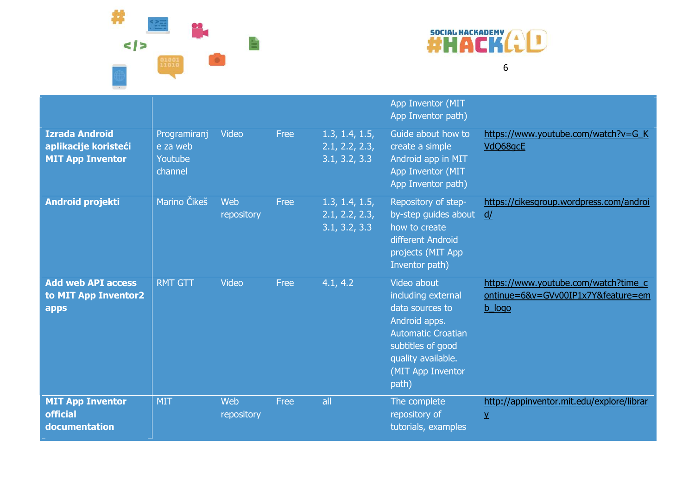



|                                                                          |                                                |                   |      |                                                   | App Inventor (MIT<br>App Inventor path)                                                                                                                                     |                                                                                      |
|--------------------------------------------------------------------------|------------------------------------------------|-------------------|------|---------------------------------------------------|-----------------------------------------------------------------------------------------------------------------------------------------------------------------------------|--------------------------------------------------------------------------------------|
| <b>Izrada Android</b><br>aplikacije koristeći<br><b>MIT App Inventor</b> | Programiranj<br>e za web<br>Youtube<br>channel | Video             | Free | 1.3, 1.4, 1.5,<br>2.1, 2.2, 2.3,<br>3.1, 3.2, 3.3 | Guide about how to<br>create a simple<br>Android app in MIT<br>App Inventor (MIT<br>App Inventor path)                                                                      | https://www.youtube.com/watch?v=G_K<br>VdQ68gcE                                      |
| <b>Android projekti</b>                                                  | Marino Čikeš                                   | Web<br>repository | Free | 1.3, 1.4, 1.5,<br>2.1, 2.2, 2.3,<br>3.1, 3.2, 3.3 | Repository of step-<br>by-step guides about<br>how to create<br>different Android<br>projects (MIT App<br>Inventor path)                                                    | https://cikesgroup.wordpress.com/androi<br>d/                                        |
| <b>Add web API access</b><br>to MIT App Inventor2<br>apps                | <b>RMT GTT</b>                                 | Video             | Free | 4.1, 4.2                                          | Video about<br>including external<br>data sources to<br>Android apps.<br><b>Automatic Croatian</b><br>subtitles of good<br>quality available.<br>(MIT App Inventor<br>path) | https://www.youtube.com/watch?time_c<br>ontinue=6&v=GVv00IP1x7Y&feature=em<br>b logo |
| <b>MIT App Inventor</b><br><b>official</b><br>documentation              | <b>MIT</b>                                     | Web<br>repository | Free | all                                               | The complete<br>repository of<br>tutorials, examples                                                                                                                        | http://appinventor.mit.edu/explore/librar<br>$\mathbf{Y}$                            |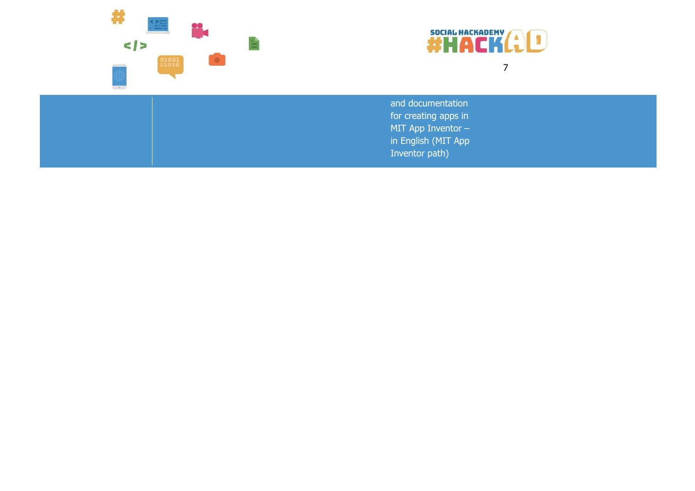



and documentation for creating apps in MIT App Inventor – in English (MIT App Inventor path)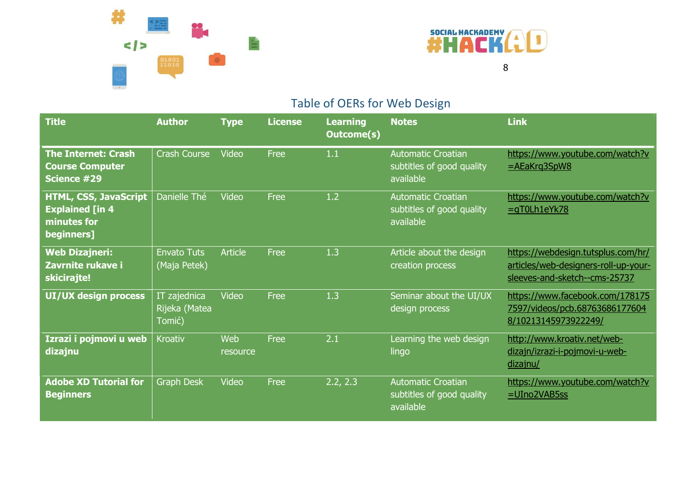



## Table of OERs for Web Design

| <b>Title</b>                                                                        | <b>Author</b>                           | <b>Type</b>     | <b>License</b> | <b>Learning</b><br><b>Outcome(s)</b> | <b>Notes</b>                                                        | <b>Link</b>                                                                                                 |
|-------------------------------------------------------------------------------------|-----------------------------------------|-----------------|----------------|--------------------------------------|---------------------------------------------------------------------|-------------------------------------------------------------------------------------------------------------|
| <b>The Internet: Crash</b><br><b>Course Computer</b><br>Science #29                 | <b>Crash Course</b>                     | Video           | Free           | 1.1                                  | <b>Automatic Croatian</b><br>subtitles of good quality<br>available | https://www.youtube.com/watch?v<br>$=$ AEaKrg3SpW8                                                          |
| <b>HTML, CSS, JavaScript</b><br><b>Explained [in 4</b><br>minutes for<br>beginners] | Danielle Thé                            | Video           | Free           | 1.2                                  | <b>Automatic Croatian</b><br>subtitles of good quality<br>available | https://www.youtube.com/watch?v<br>$=$ gT0Lh1eYk78                                                          |
| <b>Web Dizajneri:</b><br>Zavrnite rukave i<br>skicirajte!                           | <b>Envato Tuts</b><br>(Maja Petek)      | <b>Article</b>  | Free           | 1.3                                  | Article about the design<br>creation process                        | https://webdesign.tutsplus.com/hr/<br>articles/web-designers-roll-up-your-<br>sleeves-and-sketch--cms-25737 |
| UI/UX design process                                                                | IT zajednica<br>Rijeka (Matea<br>Tomić) | Video           | Free           | 1.3                                  | Seminar about the UI/UX<br>design process                           | https://www.facebook.com/178175<br>7597/videos/pcb.68763686177604<br>8/10213145973922249/                   |
| Izrazi i pojmovi u web<br>dizajnu                                                   | <b>Kroativ</b>                          | Web<br>resource | Free           | 2.1                                  | Learning the web design<br>lingo                                    | http://www.kroativ.net/web-<br>dizajn/izrazi-i-pojmovi-u-web-<br>dizajnu/                                   |
| <b>Adobe XD Tutorial for</b><br><b>Beginners</b>                                    | <b>Graph Desk</b>                       | Video           | Free           | 2.2, 2.3                             | <b>Automatic Croatian</b><br>subtitles of good quality<br>available | https://www.youtube.com/watch?v<br>$=$ UIno2VAB5ss                                                          |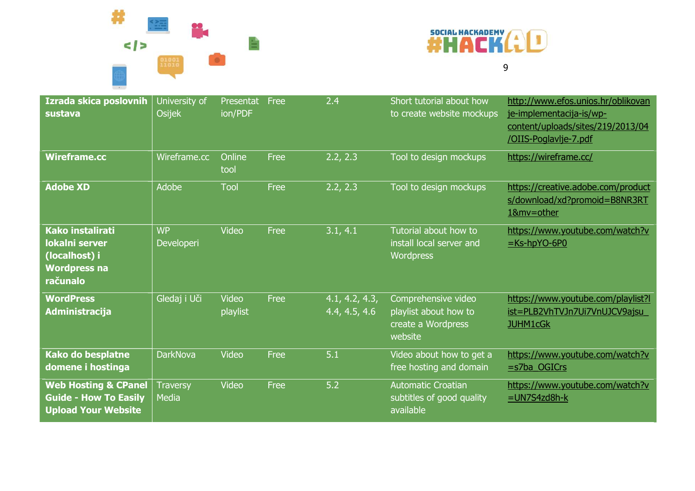



| Izrada skica poslovnih<br>sustava                                                             | University of<br><b>Osijek</b>  | Presentat<br>ion/PDF | Free | 2.4                             | Short tutorial about how<br>to create website mockups                         | http://www.efos.unios.hr/oblikovan<br>je-implementacija-is/wp-<br>content/uploads/sites/219/2013/04<br>/OIIS-Poglavlje-7.pdf |
|-----------------------------------------------------------------------------------------------|---------------------------------|----------------------|------|---------------------------------|-------------------------------------------------------------------------------|------------------------------------------------------------------------------------------------------------------------------|
| <b>Wireframe.cc</b>                                                                           | Wireframe.cc                    | Online<br>tool       | Free | 2.2, 2.3                        | Tool to design mockups                                                        | https://wireframe.cc/                                                                                                        |
| <b>Adobe XD</b>                                                                               | Adobe                           | Tool                 | Free | 2.2, 2.3                        | Tool to design mockups                                                        | https://creative.adobe.com/product<br>s/download/xd?promoid=B8NR3RT<br>1&mv=other                                            |
| <b>Kako instalirati</b><br>lokalni server<br>(localhost) i<br><b>Wordpress na</b><br>računalo | <b>WP</b><br>Developeri         | Video                | Free | 3.1, 4.1                        | Tutorial about how to<br>install local server and<br><b>Wordpress</b>         | https://www.youtube.com/watch?v<br>$=$ Ks-hpYO-6P0                                                                           |
| <b>WordPress</b><br>Administracija                                                            | Gledaj i Uči                    | Video<br>playlist    | Free | 4.1, 4.2, 4.3,<br>4.4, 4.5, 4.6 | Comprehensive video<br>playlist about how to<br>create a Wordpress<br>website | https://www.youtube.com/playlist?l<br>ist=PLB2VhTVJn7Ui7VnUJCV9ajsu<br><b>JUHM1cGk</b>                                       |
| <b>Kako do besplatne</b><br>domene i hostinga                                                 | <b>DarkNova</b>                 | Video                | Free | 5.1                             | Video about how to get a<br>free hosting and domain                           | https://www.youtube.com/watch?v<br>$=$ s7ba OGICrs                                                                           |
| <b>Web Hosting &amp; CPanel</b><br><b>Guide - How To Easily</b><br><b>Upload Your Website</b> | <b>Traversy</b><br><b>Media</b> | Video                | Free | 5.2                             | <b>Automatic Croatian</b><br>subtitles of good quality<br>available           | https://www.youtube.com/watch?v<br>$=$ UN7S4zd8h-k                                                                           |